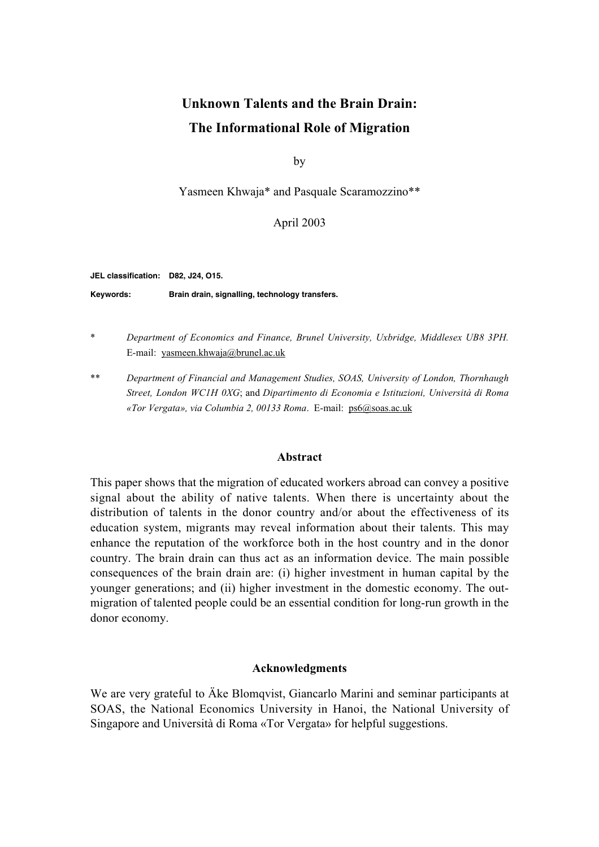# **Unknown Talents and the Brain Drain: The Informational Role of Migration**

by

Yasmeen Khwaja\* and Pasquale Scaramozzino\*\*

April 2003

**JEL classification: D82, J24, O15.**

**Keywords: Brain drain, signalling, technology transfers.**

- \* *Department of Economics and Finance, Brunel University, Uxbridge, Middlesex UB8 3PH.* E-mail: yasmeen.khwaja@brunel.ac.uk
- \*\* *Department of Financial and Management Studies, SOAS, University of London, Thornhaugh Street, London WC1H 0XG*; and *Dipartimento di Economia e Istituzioni, Università di Roma «Tor Vergata», via Columbia 2, 00133 Roma*. E-mail: ps6@soas.ac.uk

#### **Abstract**

This paper shows that the migration of educated workers abroad can convey a positive signal about the ability of native talents. When there is uncertainty about the distribution of talents in the donor country and/or about the effectiveness of its education system, migrants may reveal information about their talents. This may enhance the reputation of the workforce both in the host country and in the donor country. The brain drain can thus act as an information device. The main possible consequences of the brain drain are: (i) higher investment in human capital by the younger generations; and (ii) higher investment in the domestic economy. The outmigration of talented people could be an essential condition for long-run growth in the donor economy.

## **Acknowledgments**

We are very grateful to Äke Blomqvist, Giancarlo Marini and seminar participants at SOAS, the National Economics University in Hanoi, the National University of Singapore and Università di Roma «Tor Vergata» for helpful suggestions.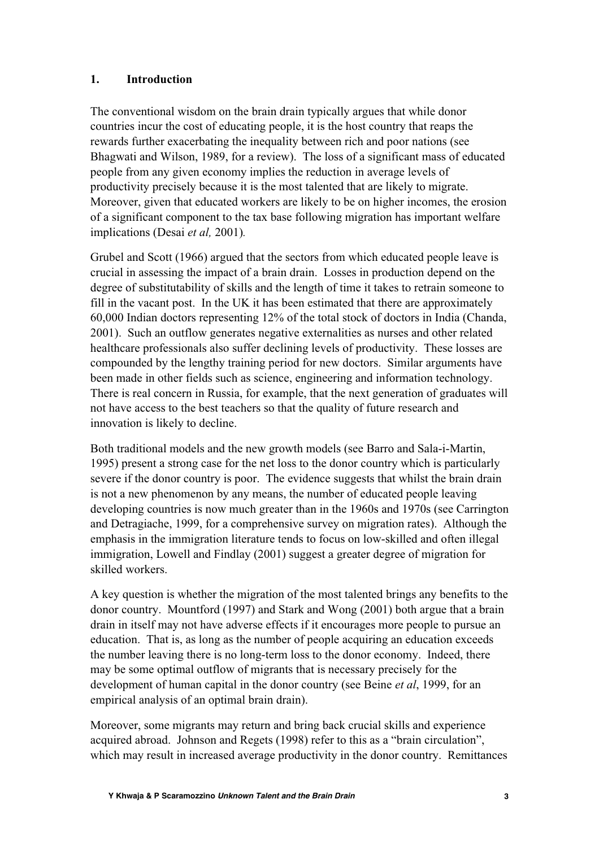# **1. Introduction**

The conventional wisdom on the brain drain typically argues that while donor countries incur the cost of educating people, it is the host country that reaps the rewards further exacerbating the inequality between rich and poor nations (see Bhagwati and Wilson, 1989, for a review). The loss of a significant mass of educated people from any given economy implies the reduction in average levels of productivity precisely because it is the most talented that are likely to migrate. Moreover, given that educated workers are likely to be on higher incomes, the erosion of a significant component to the tax base following migration has important welfare implications (Desai *et al,* 2001)*.*

Grubel and Scott (1966) argued that the sectors from which educated people leave is crucial in assessing the impact of a brain drain. Losses in production depend on the degree of substitutability of skills and the length of time it takes to retrain someone to fill in the vacant post. In the UK it has been estimated that there are approximately 60,000 Indian doctors representing 12% of the total stock of doctors in India (Chanda, 2001). Such an outflow generates negative externalities as nurses and other related healthcare professionals also suffer declining levels of productivity. These losses are compounded by the lengthy training period for new doctors. Similar arguments have been made in other fields such as science, engineering and information technology. There is real concern in Russia, for example, that the next generation of graduates will not have access to the best teachers so that the quality of future research and innovation is likely to decline.

Both traditional models and the new growth models (see Barro and Sala-i-Martin, 1995) present a strong case for the net loss to the donor country which is particularly severe if the donor country is poor. The evidence suggests that whilst the brain drain is not a new phenomenon by any means, the number of educated people leaving developing countries is now much greater than in the 1960s and 1970s (see Carrington and Detragiache, 1999, for a comprehensive survey on migration rates). Although the emphasis in the immigration literature tends to focus on low-skilled and often illegal immigration, Lowell and Findlay (2001) suggest a greater degree of migration for skilled workers.

A key question is whether the migration of the most talented brings any benefits to the donor country. Mountford (1997) and Stark and Wong (2001) both argue that a brain drain in itself may not have adverse effects if it encourages more people to pursue an education. That is, as long as the number of people acquiring an education exceeds the number leaving there is no long-term loss to the donor economy. Indeed, there may be some optimal outflow of migrants that is necessary precisely for the development of human capital in the donor country (see Beine *et al*, 1999, for an empirical analysis of an optimal brain drain).

Moreover, some migrants may return and bring back crucial skills and experience acquired abroad. Johnson and Regets (1998) refer to this as a "brain circulation", which may result in increased average productivity in the donor country. Remittances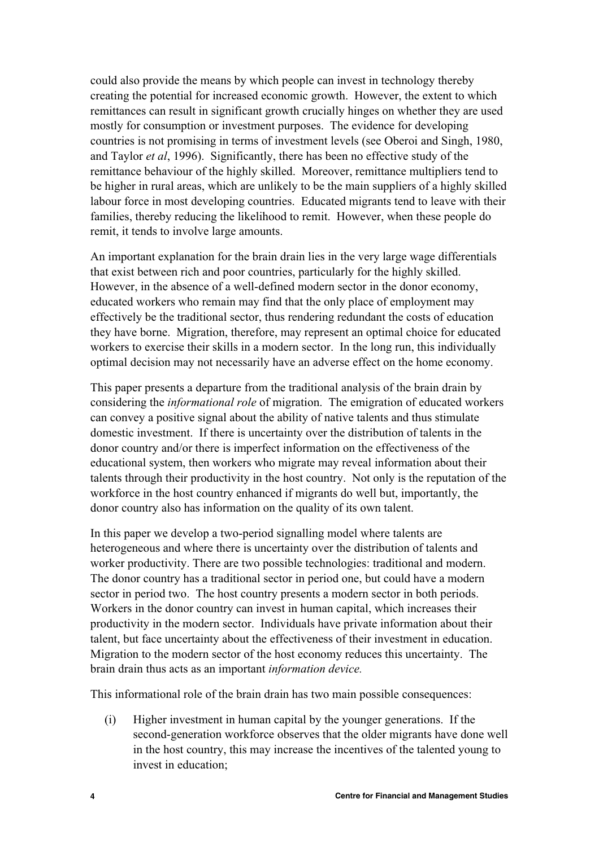could also provide the means by which people can invest in technology thereby creating the potential for increased economic growth. However, the extent to which remittances can result in significant growth crucially hinges on whether they are used mostly for consumption or investment purposes. The evidence for developing countries is not promising in terms of investment levels (see Oberoi and Singh, 1980, and Taylor *et al*, 1996). Significantly, there has been no effective study of the remittance behaviour of the highly skilled. Moreover, remittance multipliers tend to be higher in rural areas, which are unlikely to be the main suppliers of a highly skilled labour force in most developing countries. Educated migrants tend to leave with their families, thereby reducing the likelihood to remit. However, when these people do remit, it tends to involve large amounts.

An important explanation for the brain drain lies in the very large wage differentials that exist between rich and poor countries, particularly for the highly skilled. However, in the absence of a well-defined modern sector in the donor economy, educated workers who remain may find that the only place of employment may effectively be the traditional sector, thus rendering redundant the costs of education they have borne. Migration, therefore, may represent an optimal choice for educated workers to exercise their skills in a modern sector. In the long run, this individually optimal decision may not necessarily have an adverse effect on the home economy.

This paper presents a departure from the traditional analysis of the brain drain by considering the *informational role* of migration. The emigration of educated workers can convey a positive signal about the ability of native talents and thus stimulate domestic investment. If there is uncertainty over the distribution of talents in the donor country and/or there is imperfect information on the effectiveness of the educational system, then workers who migrate may reveal information about their talents through their productivity in the host country. Not only is the reputation of the workforce in the host country enhanced if migrants do well but, importantly, the donor country also has information on the quality of its own talent.

In this paper we develop a two-period signalling model where talents are heterogeneous and where there is uncertainty over the distribution of talents and worker productivity. There are two possible technologies: traditional and modern. The donor country has a traditional sector in period one, but could have a modern sector in period two. The host country presents a modern sector in both periods. Workers in the donor country can invest in human capital, which increases their productivity in the modern sector. Individuals have private information about their talent, but face uncertainty about the effectiveness of their investment in education. Migration to the modern sector of the host economy reduces this uncertainty. The brain drain thus acts as an important *information device.*

This informational role of the brain drain has two main possible consequences:

(i) Higher investment in human capital by the younger generations. If the second-generation workforce observes that the older migrants have done well in the host country, this may increase the incentives of the talented young to invest in education;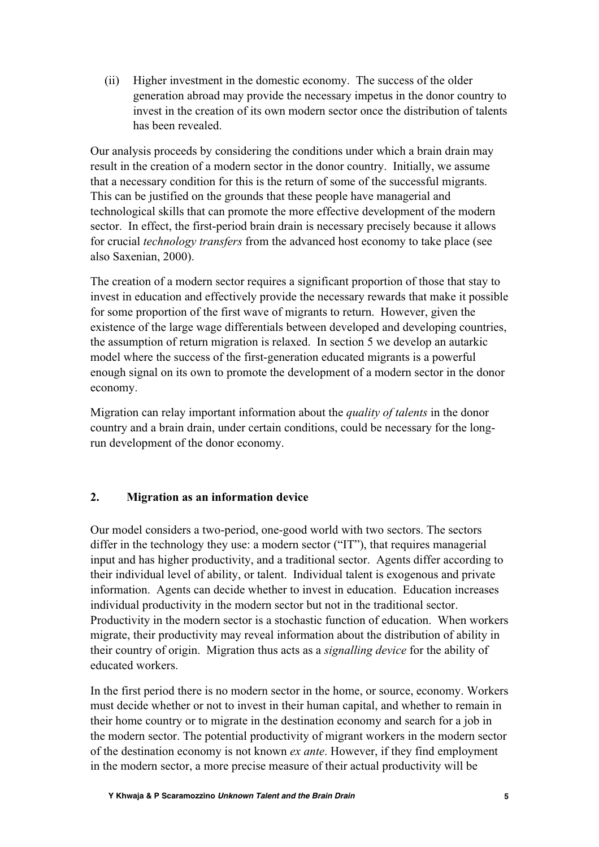(ii) Higher investment in the domestic economy. The success of the older generation abroad may provide the necessary impetus in the donor country to invest in the creation of its own modern sector once the distribution of talents has been revealed.

Our analysis proceeds by considering the conditions under which a brain drain may result in the creation of a modern sector in the donor country. Initially, we assume that a necessary condition for this is the return of some of the successful migrants. This can be justified on the grounds that these people have managerial and technological skills that can promote the more effective development of the modern sector. In effect, the first-period brain drain is necessary precisely because it allows for crucial *technology transfers* from the advanced host economy to take place (see also Saxenian, 2000).

The creation of a modern sector requires a significant proportion of those that stay to invest in education and effectively provide the necessary rewards that make it possible for some proportion of the first wave of migrants to return. However, given the existence of the large wage differentials between developed and developing countries, the assumption of return migration is relaxed. In section 5 we develop an autarkic model where the success of the first-generation educated migrants is a powerful enough signal on its own to promote the development of a modern sector in the donor economy.

Migration can relay important information about the *quality of talents* in the donor country and a brain drain, under certain conditions, could be necessary for the longrun development of the donor economy.

# **2. Migration as an information device**

Our model considers a two-period, one-good world with two sectors. The sectors differ in the technology they use: a modern sector ("IT"), that requires managerial input and has higher productivity, and a traditional sector. Agents differ according to their individual level of ability, or talent. Individual talent is exogenous and private information. Agents can decide whether to invest in education. Education increases individual productivity in the modern sector but not in the traditional sector. Productivity in the modern sector is a stochastic function of education. When workers migrate, their productivity may reveal information about the distribution of ability in their country of origin. Migration thus acts as a *signalling device* for the ability of educated workers.

In the first period there is no modern sector in the home, or source, economy. Workers must decide whether or not to invest in their human capital, and whether to remain in their home country or to migrate in the destination economy and search for a job in the modern sector. The potential productivity of migrant workers in the modern sector of the destination economy is not known *ex ante*. However, if they find employment in the modern sector, a more precise measure of their actual productivity will be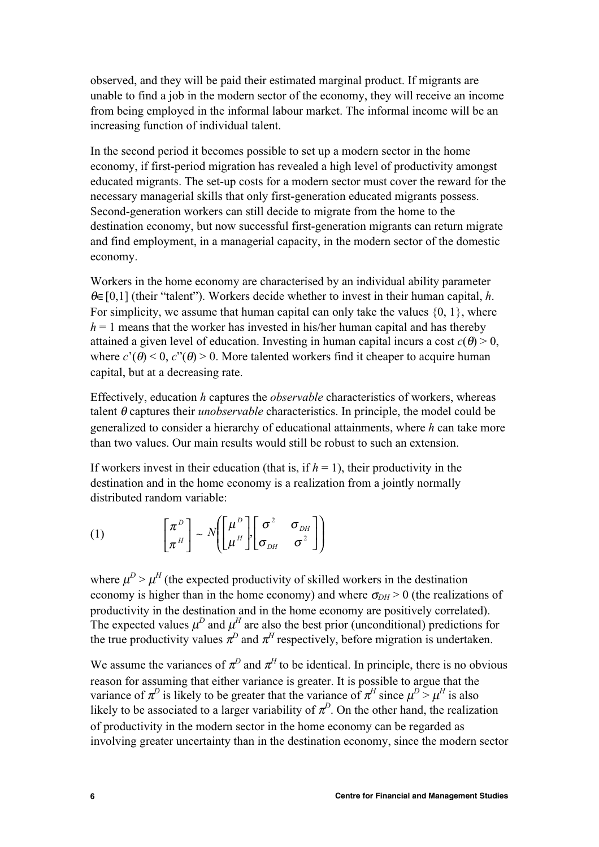observed, and they will be paid their estimated marginal product. If migrants are unable to find a job in the modern sector of the economy, they will receive an income from being employed in the informal labour market. The informal income will be an increasing function of individual talent.

In the second period it becomes possible to set up a modern sector in the home economy, if first-period migration has revealed a high level of productivity amongst educated migrants. The set-up costs for a modern sector must cover the reward for the necessary managerial skills that only first-generation educated migrants possess. Second-generation workers can still decide to migrate from the home to the destination economy, but now successful first-generation migrants can return migrate and find employment, in a managerial capacity, in the modern sector of the domestic economy.

Workers in the home economy are characterised by an individual ability parameter <sup>θ</sup>∈[0,1] (their "talent"). Workers decide whether to invest in their human capital, *h*. For simplicity, we assume that human capital can only take the values  $\{0, 1\}$ , where  $h = 1$  means that the worker has invested in his/her human capital and has thereby attained a given level of education. Investing in human capital incurs a cost  $c(\theta) > 0$ , where  $c'(\theta) < 0$ ,  $c''(\theta) > 0$ . More talented workers find it cheaper to acquire human capital, but at a decreasing rate.

Effectively, education *h* captures the *observable* characteristics of workers, whereas talent θ captures their *unobservable* characteristics. In principle, the model could be generalized to consider a hierarchy of educational attainments, where *h* can take more than two values. Our main results would still be robust to such an extension.

If workers invest in their education (that is, if  $h = 1$ ), their productivity in the destination and in the home economy is a realization from a jointly normally distributed random variable:

(1) 
$$
\begin{bmatrix} \pi^D \\ \pi^H \end{bmatrix} \sim N \left( \begin{bmatrix} \mu^D \\ \mu^H \end{bmatrix} \begin{bmatrix} \sigma^2 & \sigma_{DH} \\ \sigma_{DH} & \sigma^2 \end{bmatrix} \right)
$$

where  $\mu^D > \mu^H$  (the expected productivity of skilled workers in the destination economy is higher than in the home economy) and where  $\sigma_{DH} > 0$  (the realizations of productivity in the destination and in the home economy are positively correlated). The expected values  $\mu^D$  and  $\mu^H$  are also the best prior (unconditional) predictions for the true productivity values  $\pi^D$  and  $\pi^H$  respectively, before migration is undertaken.

We assume the variances of  $\pi^D$  and  $\pi^H$  to be identical. In principle, there is no obvious reason for assuming that either variance is greater. It is possible to argue that the variance of  $\pi^D$  is likely to be greater that the variance of  $\pi^H$  since  $\mu^D > \mu^H$  is also likely to be associated to a larger variability of  $\pi^D$ . On the other hand, the realization of productivity in the modern sector in the home economy can be regarded as involving greater uncertainty than in the destination economy, since the modern sector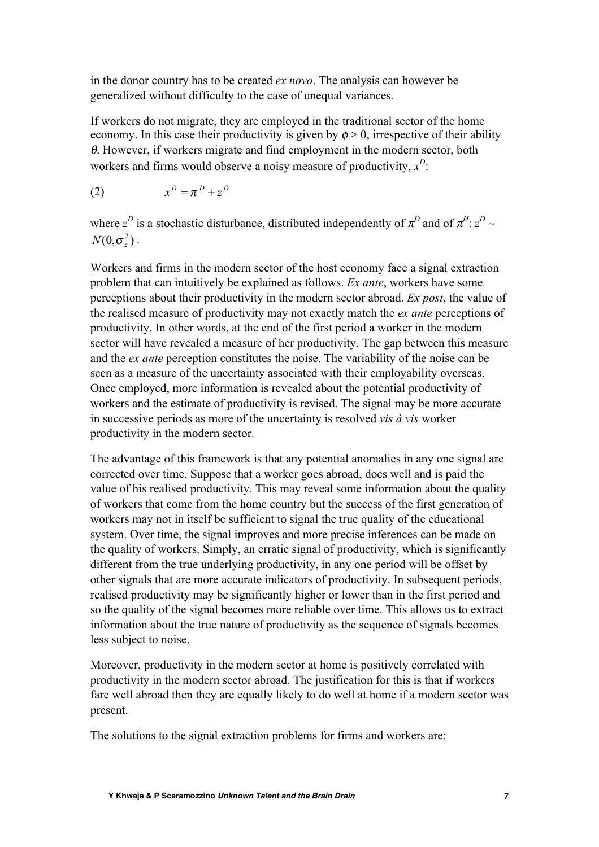in the donor country has to be created *ex novo*. The analysis can however be generalized without difficulty to the case of unequal variances.

If workers do not migrate, they are employed in the traditional sector of the home economy. In this case their productivity is given by  $\phi > 0$ , irrespective of their ability  $\theta$ . However, if workers migrate and find employment in the modern sector, both workers and firms would observe a noisy measure of productivity,  $x^D$ :

$$
(2) \t xD = \piD + zD
$$

where  $z^D$  is a stochastic disturbance, distributed independently of  $\pi^D$  and of  $\pi^H$ :  $z^D$  ∼  $N(0,\sigma_z^2)$  .

Workers and firms in the modern sector of the host economy face a signal extraction problem that can intuitively be explained as follows. *Ex ante*, workers have some perceptions about their productivity in the modern sector abroad. *Ex post*, the value of the realised measure of productivity may not exactly match the *ex ante* perceptions of productivity. In other words, at the end of the first period a worker in the modern sector will have revealed a measure of her productivity. The gap between this measure and the *ex ante* perception constitutes the noise. The variability of the noise can be seen as a measure of the uncertainty associated with their employability overseas. Once employed, more information is revealed about the potential productivity of workers and the estimate of productivity is revised. The signal may be more accurate in successive periods as more of the uncertainty is resolved *vis à vis* worker productivity in the modern sector.

The advantage of this framework is that any potential anomalies in any one signal are corrected over time. Suppose that a worker goes abroad, does well and is paid the value of his realised productivity. This may reveal some information about the quality of workers that come from the home country but the success of the first generation of workers may not in itself be sufficient to signal the true quality of the educational system. Over time, the signal improves and more precise inferences can be made on the quality of workers. Simply, an erratic signal of productivity, which is significantly different from the true underlying productivity, in any one period will be offset by other signals that are more accurate indicators of productivity. In subsequent periods, realised productivity may be significantly higher or lower than in the first period and so the quality of the signal becomes more reliable over time. This allows us to extract information about the true nature of productivity as the sequence of signals becomes less subject to noise.

Moreover, productivity in the modern sector at home is positively correlated with productivity in the modern sector abroad. The justification for this is that if workers fare well abroad then they are equally likely to do well at home if a modern sector was present.

The solutions to the signal extraction problems for firms and workers are: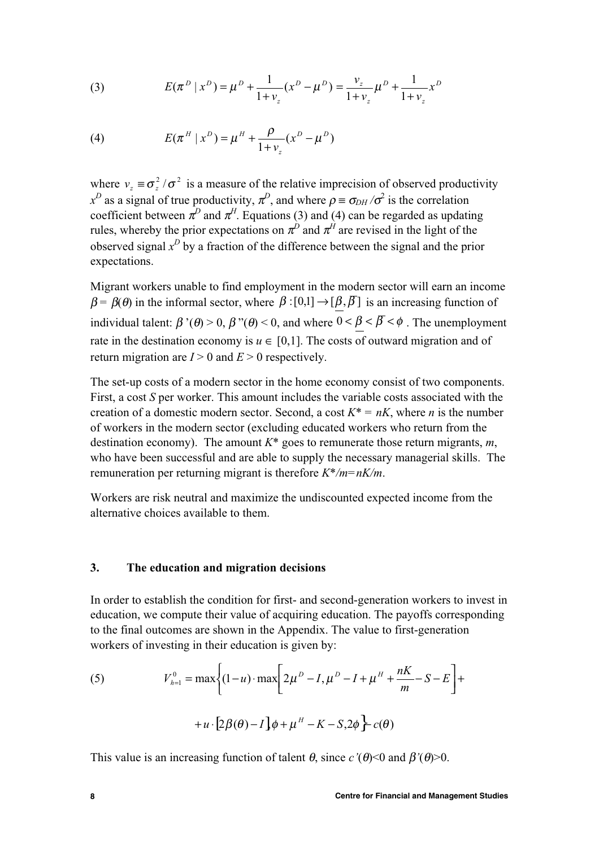(3) 
$$
E(\pi^D | x^D) = \mu^D + \frac{1}{1 + \nu_z} (x^D - \mu^D) = \frac{\nu_z}{1 + \nu_z} \mu^D + \frac{1}{1 + \nu_z} x^D
$$

(4) 
$$
E(\pi^H | x^D) = \mu^H + \frac{\rho}{1 + v_z} (x^D - \mu^D)
$$

where  $v_z \equiv \sigma_z^2 / \sigma^2$  is a measure of the relative imprecision of observed productivity  $x^D$  as a signal of true productivity,  $\pi^D$ , and where  $\rho \equiv \sigma_{DH} / \sigma^2$  is the correlation coefficient between  $\pi^D$  and  $\pi^H$ . Equations (3) and (4) can be regarded as updating rules, whereby the prior expectations on  $\pi^D$  and  $\pi^H$  are revised in the light of the observed signal  $x^D$  by a fraction of the difference between the signal and the prior expectations.

Migrant workers unable to find employment in the modern sector will earn an income  $\beta = \beta(\theta)$  in the informal sector, where  $\beta : [0,1] \rightarrow [\beta, \overline{\beta}]$  is an increasing function of individual talent:  $\beta'(\theta) > 0$ ,  $\beta''(\theta) < 0$ , and where  $0 < \beta < \beta < \phi$ . The unemployment rate in the destination economy is  $u \in [0,1]$ . The costs of outward migration and of return migration are  $I > 0$  and  $E > 0$  respectively.

The set-up costs of a modern sector in the home economy consist of two components. First, a cost *S* per worker. This amount includes the variable costs associated with the creation of a domestic modern sector. Second, a cost  $K^* = nK$ , where *n* is the number of workers in the modern sector (excluding educated workers who return from the destination economy). The amount *K\** goes to remunerate those return migrants, *m*, who have been successful and are able to supply the necessary managerial skills. The remuneration per returning migrant is therefore *K\*/m=nK/m*.

Workers are risk neutral and maximize the undiscounted expected income from the alternative choices available to them.

#### **3. The education and migration decisions**

In order to establish the condition for first- and second-generation workers to invest in education, we compute their value of acquiring education. The payoffs corresponding to the final outcomes are shown in the Appendix. The value to first-generation workers of investing in their education is given by:

(5) 
$$
V_{h=1}^{0} = \max \left\{ (1-u) \cdot \max \left[ 2\mu^{D} - I, \mu^{D} - I + \mu^{H} + \frac{nK}{m} - S - E \right] + \right. \\ + u \cdot [2\beta(\theta) - I] \phi + \mu^{H} - K - S, 2\phi \right\} \cdot c(\theta)
$$

This value is an increasing function of talent  $\theta$ , since  $c'(\theta) < 0$  and  $\beta'(\theta) > 0$ .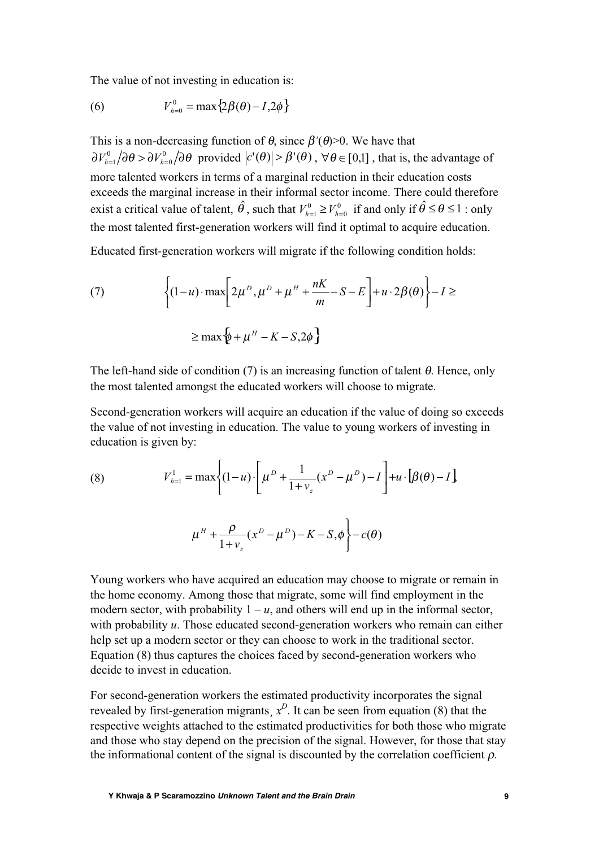The value of not investing in education is:

(6) 
$$
V_{h=0}^{0} = \max\{2\beta(\theta) - I, 2\phi\}
$$

This is a non-decreasing function of  $\theta$ , since  $\beta'(\theta)$ >0. We have that  $\partial V_{h=1}^0/\partial\theta > \partial V_{h=0}^0/\partial\theta$  provided  $|c'(\theta)| > \beta'(\theta)$ ,  $\forall \theta \in [0,1]$ , that is, the advantage of more talented workers in terms of a marginal reduction in their education costs exceeds the marginal increase in their informal sector income. There could therefore exist a critical value of talent,  $\hat{\theta}$ , such that  $V_{h=1}^0 \ge V_{h=0}^0$  if and only if  $\hat{\theta} \le \theta \le 1$ : only the most talented first-generation workers will find it optimal to acquire education.

Educated first-generation workers will migrate if the following condition holds:

(7) 
$$
\left\{ (1-u) \cdot \max \left[ 2\mu^D, \mu^D + \mu^H + \frac{nK}{m} - S - E \right] + u \cdot 2\beta(\theta) \right\} - I \ge
$$

$$
\ge \max \left\{ \psi + \mu^H - K - S, 2\phi \right\}
$$

The left-hand side of condition (7) is an increasing function of talent  $\theta$ . Hence, only the most talented amongst the educated workers will choose to migrate.

Second-generation workers will acquire an education if the value of doing so exceeds the value of not investing in education. The value to young workers of investing in education is given by:

(8) 
$$
V_{h=1}^{1} = \max \left\{ (1-u) \cdot \left[ \mu^{D} + \frac{1}{1+v_{z}} (x^{D} - \mu^{D}) - I \right] + u \cdot \left[ \beta(\theta) - I \right] \right\}
$$

$$
\mu^{H} + \frac{\rho}{1+v_{z}} (x^{D} - \mu^{D}) - K - S, \phi \left\} - c(\theta)
$$

Young workers who have acquired an education may choose to migrate or remain in the home economy. Among those that migrate, some will find employment in the modern sector, with probability  $1 - u$ , and others will end up in the informal sector, with probability *u*. Those educated second-generation workers who remain can either help set up a modern sector or they can choose to work in the traditional sector. Equation (8) thus captures the choices faced by second-generation workers who decide to invest in education.

For second-generation workers the estimated productivity incorporates the signal revealed by first-generation migrants,  $x^D$ . It can be seen from equation (8) that the respective weights attached to the estimated productivities for both those who migrate and those who stay depend on the precision of the signal. However, for those that stay the informational content of the signal is discounted by the correlation coefficient  $\rho$ .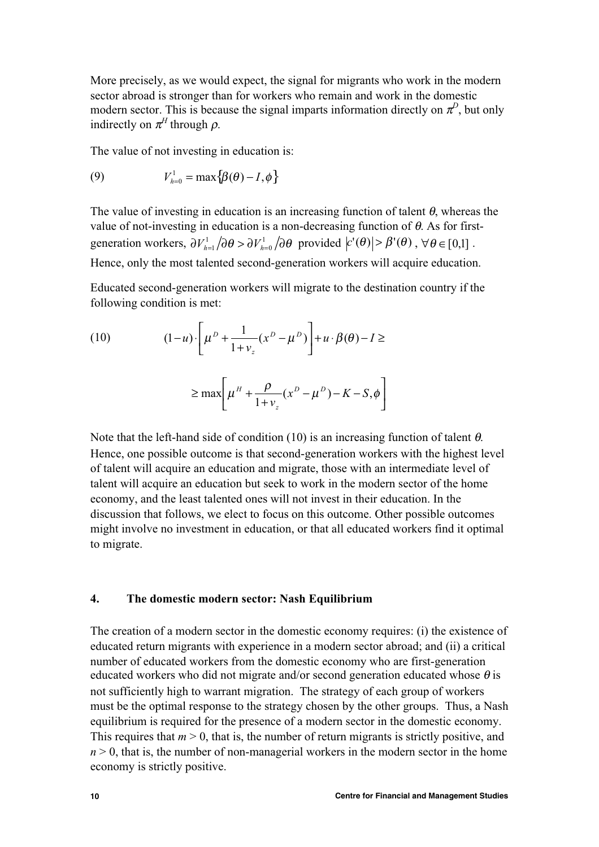More precisely, as we would expect, the signal for migrants who work in the modern sector abroad is stronger than for workers who remain and work in the domestic modern sector. This is because the signal imparts information directly on  $\pi^D$ , but only indirectly on  $\pi^H$  through  $\rho$ .

The value of not investing in education is:

(9) 
$$
V_{h=0}^1 = \max\{\beta(\theta) - I, \phi\}
$$

The value of investing in education is an increasing function of talent  $\theta$ , whereas the value of not-investing in education is a non-decreasing function of θ. As for firstgeneration workers,  $\partial V_{h=1}^1/\partial \theta > \partial V_{h=0}^1/\partial \theta$  provided  $|c'(\theta)| > \beta'(\theta)$ ,  $\forall \theta \in [0,1]$ . Hence, only the most talented second-generation workers will acquire education.

Educated second-generation workers will migrate to the destination country if the following condition is met:

(10) 
$$
(1-u)\cdot \left[\mu^{D} + \frac{1}{1+v_{z}}(x^{D} - \mu^{D})\right] + u \cdot \beta(\theta) - I \ge
$$

$$
\ge \max \left[\mu^{H} + \frac{\rho}{1+v_{z}}(x^{D} - \mu^{D}) - K - S, \phi\right]
$$

Note that the left-hand side of condition (10) is an increasing function of talent  $\theta$ . Hence, one possible outcome is that second-generation workers with the highest level of talent will acquire an education and migrate, those with an intermediate level of talent will acquire an education but seek to work in the modern sector of the home economy, and the least talented ones will not invest in their education. In the discussion that follows, we elect to focus on this outcome. Other possible outcomes might involve no investment in education, or that all educated workers find it optimal to migrate.

## **4. The domestic modern sector: Nash Equilibrium**

The creation of a modern sector in the domestic economy requires: (i) the existence of educated return migrants with experience in a modern sector abroad; and (ii) a critical number of educated workers from the domestic economy who are first-generation educated workers who did not migrate and/or second generation educated whose  $\theta$  is not sufficiently high to warrant migration. The strategy of each group of workers must be the optimal response to the strategy chosen by the other groups. Thus, a Nash equilibrium is required for the presence of a modern sector in the domestic economy. This requires that  $m > 0$ , that is, the number of return migrants is strictly positive, and  $n > 0$ , that is, the number of non-managerial workers in the modern sector in the home economy is strictly positive.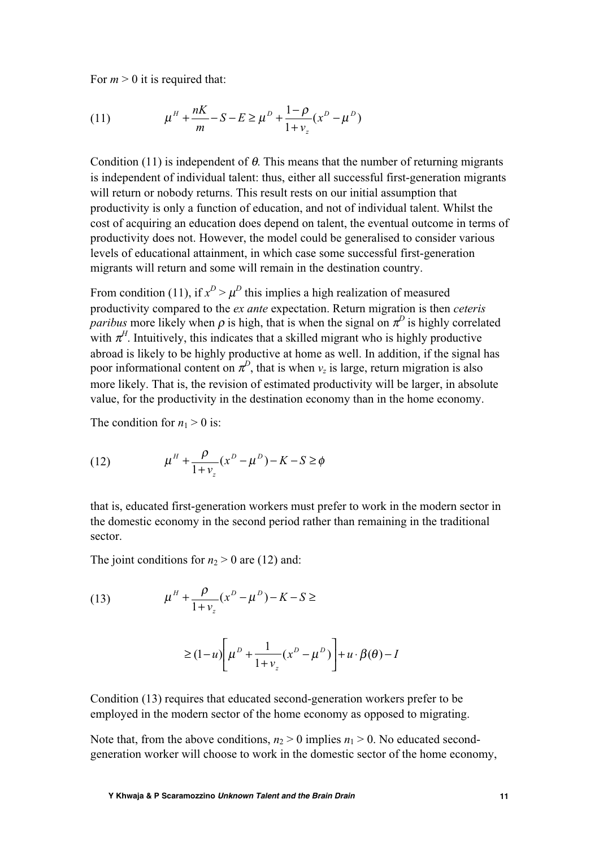For  $m > 0$  it is required that:

(11) 
$$
\mu^H + \frac{nK}{m} - S - E \ge \mu^D + \frac{1 - \rho}{1 + v_z} (x^D - \mu^D)
$$

Condition (11) is independent of  $\theta$ . This means that the number of returning migrants is independent of individual talent: thus, either all successful first-generation migrants will return or nobody returns. This result rests on our initial assumption that productivity is only a function of education, and not of individual talent. Whilst the cost of acquiring an education does depend on talent, the eventual outcome in terms of productivity does not. However, the model could be generalised to consider various levels of educational attainment, in which case some successful first-generation migrants will return and some will remain in the destination country.

From condition (11), if  $x^D > \mu^D$  this implies a high realization of measured productivity compared to the *ex ante* expectation. Return migration is then *ceteris paribus* more likely when  $\rho$  is high, that is when the signal on  $\pi^D$  is highly correlated with  $\pi^H$ . Intuitively, this indicates that a skilled migrant who is highly productive abroad is likely to be highly productive at home as well. In addition, if the signal has poor informational content on  $\pi^D$ , that is when  $v_z$  is large, return migration is also more likely. That is, the revision of estimated productivity will be larger, in absolute value, for the productivity in the destination economy than in the home economy.

The condition for  $n_1 > 0$  is:

(12) 
$$
\mu^{H} + \frac{\rho}{1 + \nu_{z}} (x^{D} - \mu^{D}) - K - S \ge \phi
$$

that is, educated first-generation workers must prefer to work in the modern sector in the domestic economy in the second period rather than remaining in the traditional sector.

The joint conditions for  $n_2 > 0$  are (12) and:

(13) 
$$
\mu^H + \frac{\rho}{1 + \nu_z} (x^D - \mu^D) - K - S \ge 0
$$

$$
\geq (1-u)\left[\mu^{D} + \frac{1}{1+v_{z}}(x^{D} - \mu^{D})\right] + u \cdot \beta(\theta) - I
$$

Condition (13) requires that educated second-generation workers prefer to be employed in the modern sector of the home economy as opposed to migrating.

Note that, from the above conditions,  $n_2 > 0$  implies  $n_1 > 0$ . No educated secondgeneration worker will choose to work in the domestic sector of the home economy,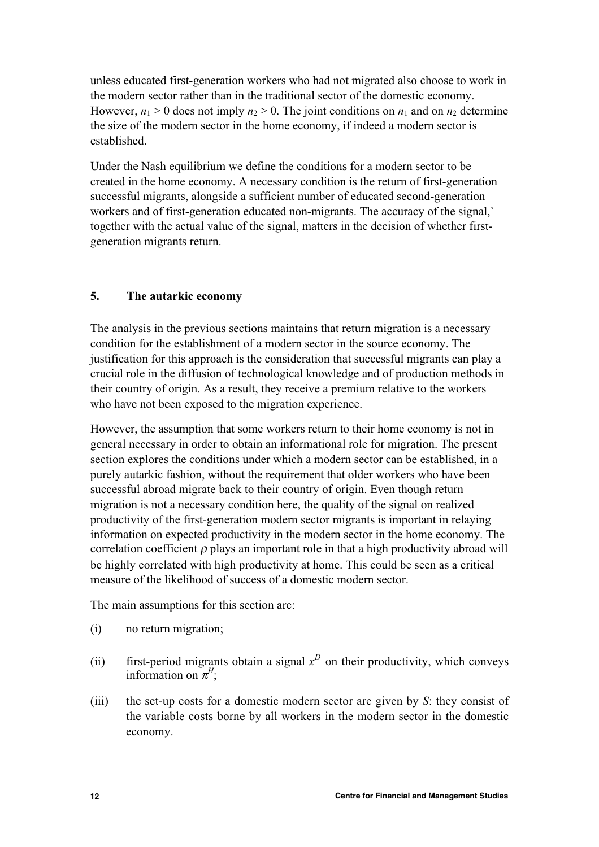unless educated first-generation workers who had not migrated also choose to work in the modern sector rather than in the traditional sector of the domestic economy. However,  $n_1 > 0$  does not imply  $n_2 > 0$ . The joint conditions on  $n_1$  and on  $n_2$  determine the size of the modern sector in the home economy, if indeed a modern sector is established.

Under the Nash equilibrium we define the conditions for a modern sector to be created in the home economy. A necessary condition is the return of first-generation successful migrants, alongside a sufficient number of educated second-generation workers and of first-generation educated non-migrants. The accuracy of the signal,` together with the actual value of the signal, matters in the decision of whether firstgeneration migrants return.

# **5. The autarkic economy**

The analysis in the previous sections maintains that return migration is a necessary condition for the establishment of a modern sector in the source economy. The justification for this approach is the consideration that successful migrants can play a crucial role in the diffusion of technological knowledge and of production methods in their country of origin. As a result, they receive a premium relative to the workers who have not been exposed to the migration experience.

However, the assumption that some workers return to their home economy is not in general necessary in order to obtain an informational role for migration. The present section explores the conditions under which a modern sector can be established, in a purely autarkic fashion, without the requirement that older workers who have been successful abroad migrate back to their country of origin. Even though return migration is not a necessary condition here, the quality of the signal on realized productivity of the first-generation modern sector migrants is important in relaying information on expected productivity in the modern sector in the home economy. The correlation coefficient  $\rho$  plays an important role in that a high productivity abroad will be highly correlated with high productivity at home. This could be seen as a critical measure of the likelihood of success of a domestic modern sector.

The main assumptions for this section are:

- (i) no return migration;
- (ii) first-period migrants obtain a signal  $x^D$  on their productivity, which conveys information on  $\pi$ <sup>*H*</sup>;
- (iii) the set-up costs for a domestic modern sector are given by *S*: they consist of the variable costs borne by all workers in the modern sector in the domestic economy.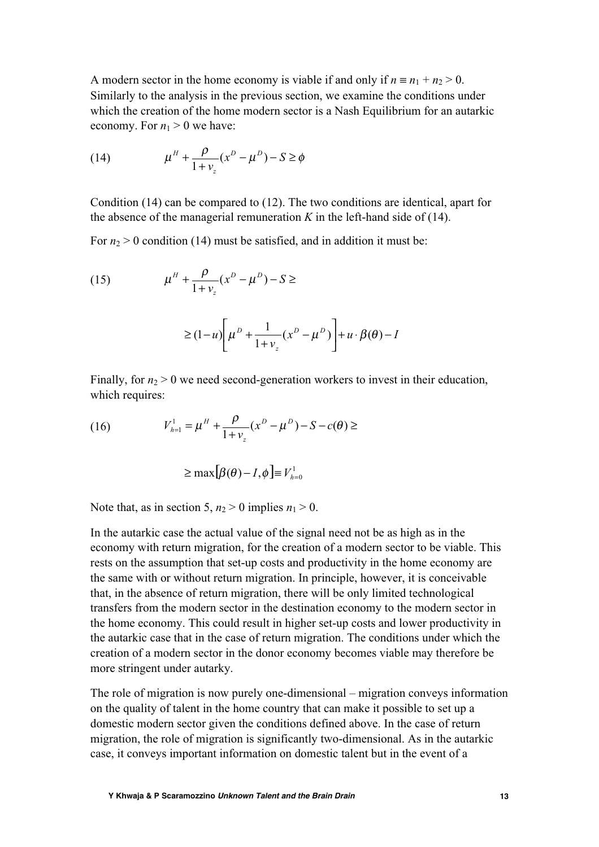A modern sector in the home economy is viable if and only if  $n \equiv n_1 + n_2 > 0$ . Similarly to the analysis in the previous section, we examine the conditions under which the creation of the home modern sector is a Nash Equilibrium for an autarkic economy. For  $n_1 > 0$  we have:

(14) 
$$
\mu^{H} + \frac{\rho}{1 + \nu_{z}} (x^{D} - \mu^{D}) - S \ge \phi
$$

Condition (14) can be compared to (12). The two conditions are identical, apart for the absence of the managerial remuneration  $K$  in the left-hand side of (14).

For  $n_2 > 0$  condition (14) must be satisfied, and in addition it must be:

(15) 
$$
\mu^H + \frac{\rho}{1 + \nu_z} (x^D - \mu^D) - S \ge 0
$$

$$
\geq (1-u)\left[\mu^{D} + \frac{1}{1+v_{z}}(x^{D} - \mu^{D})\right] + u \cdot \beta(\theta) - I
$$

Finally, for  $n_2 > 0$  we need second-generation workers to invest in their education, which requires:

(16) 
$$
V_{h=1}^{1} = \mu^{H} + \frac{\rho}{1 + v_{z}} (x^{D} - \mu^{D}) - S - c(\theta) \geq
$$

$$
\geq \max[\beta(\theta)-I,\phi] \equiv V_{h=0}^1
$$

Note that, as in section 5,  $n_2 > 0$  implies  $n_1 > 0$ .

In the autarkic case the actual value of the signal need not be as high as in the economy with return migration, for the creation of a modern sector to be viable. This rests on the assumption that set-up costs and productivity in the home economy are the same with or without return migration. In principle, however, it is conceivable that, in the absence of return migration, there will be only limited technological transfers from the modern sector in the destination economy to the modern sector in the home economy. This could result in higher set-up costs and lower productivity in the autarkic case that in the case of return migration. The conditions under which the creation of a modern sector in the donor economy becomes viable may therefore be more stringent under autarky.

The role of migration is now purely one-dimensional – migration conveys information on the quality of talent in the home country that can make it possible to set up a domestic modern sector given the conditions defined above. In the case of return migration, the role of migration is significantly two-dimensional. As in the autarkic case, it conveys important information on domestic talent but in the event of a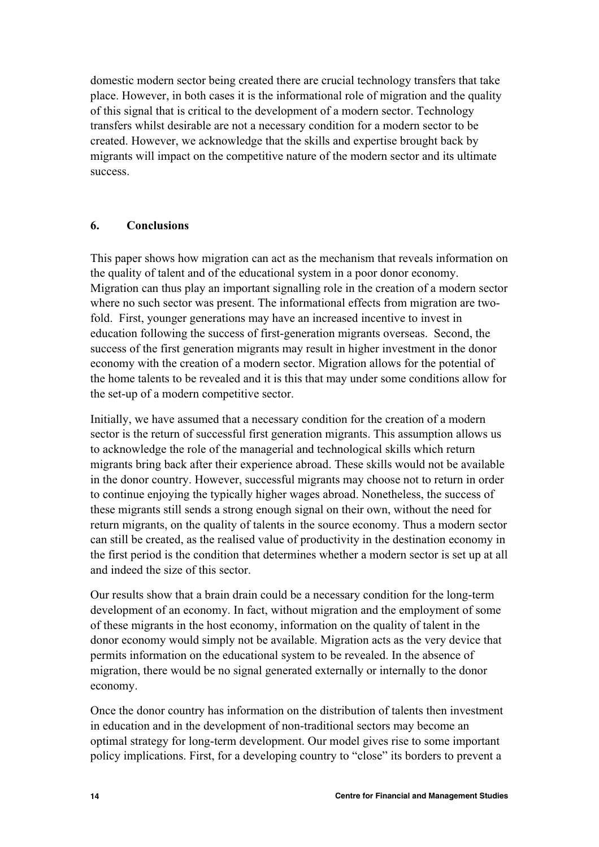domestic modern sector being created there are crucial technology transfers that take place. However, in both cases it is the informational role of migration and the quality of this signal that is critical to the development of a modern sector. Technology transfers whilst desirable are not a necessary condition for a modern sector to be created. However, we acknowledge that the skills and expertise brought back by migrants will impact on the competitive nature of the modern sector and its ultimate success.

## **6. Conclusions**

This paper shows how migration can act as the mechanism that reveals information on the quality of talent and of the educational system in a poor donor economy. Migration can thus play an important signalling role in the creation of a modern sector where no such sector was present. The informational effects from migration are twofold. First, younger generations may have an increased incentive to invest in education following the success of first-generation migrants overseas. Second, the success of the first generation migrants may result in higher investment in the donor economy with the creation of a modern sector. Migration allows for the potential of the home talents to be revealed and it is this that may under some conditions allow for the set-up of a modern competitive sector.

Initially, we have assumed that a necessary condition for the creation of a modern sector is the return of successful first generation migrants. This assumption allows us to acknowledge the role of the managerial and technological skills which return migrants bring back after their experience abroad. These skills would not be available in the donor country. However, successful migrants may choose not to return in order to continue enjoying the typically higher wages abroad. Nonetheless, the success of these migrants still sends a strong enough signal on their own, without the need for return migrants, on the quality of talents in the source economy. Thus a modern sector can still be created, as the realised value of productivity in the destination economy in the first period is the condition that determines whether a modern sector is set up at all and indeed the size of this sector.

Our results show that a brain drain could be a necessary condition for the long-term development of an economy. In fact, without migration and the employment of some of these migrants in the host economy, information on the quality of talent in the donor economy would simply not be available. Migration acts as the very device that permits information on the educational system to be revealed. In the absence of migration, there would be no signal generated externally or internally to the donor economy.

Once the donor country has information on the distribution of talents then investment in education and in the development of non-traditional sectors may become an optimal strategy for long-term development. Our model gives rise to some important policy implications. First, for a developing country to "close" its borders to prevent a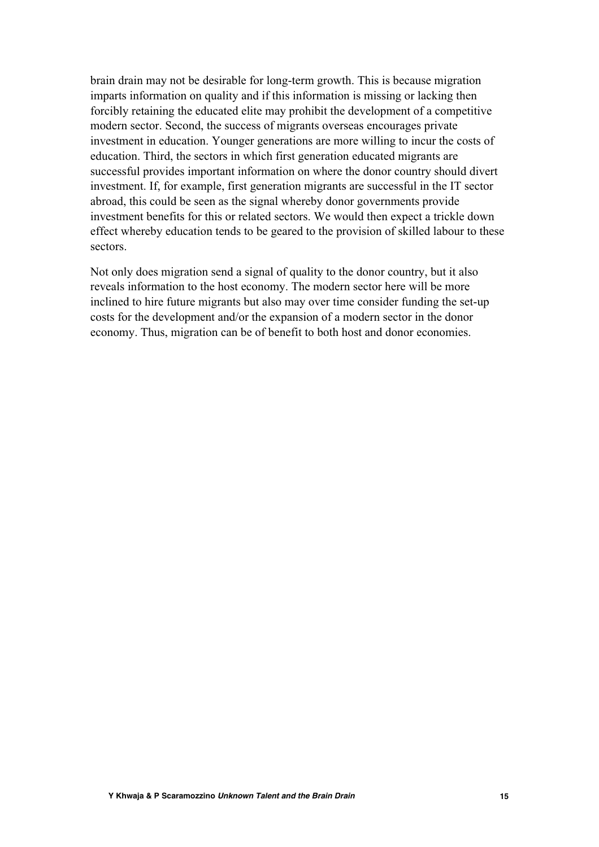brain drain may not be desirable for long-term growth. This is because migration imparts information on quality and if this information is missing or lacking then forcibly retaining the educated elite may prohibit the development of a competitive modern sector. Second, the success of migrants overseas encourages private investment in education. Younger generations are more willing to incur the costs of education. Third, the sectors in which first generation educated migrants are successful provides important information on where the donor country should divert investment. If, for example, first generation migrants are successful in the IT sector abroad, this could be seen as the signal whereby donor governments provide investment benefits for this or related sectors. We would then expect a trickle down effect whereby education tends to be geared to the provision of skilled labour to these sectors.

Not only does migration send a signal of quality to the donor country, but it also reveals information to the host economy. The modern sector here will be more inclined to hire future migrants but also may over time consider funding the set-up costs for the development and/or the expansion of a modern sector in the donor economy. Thus, migration can be of benefit to both host and donor economies.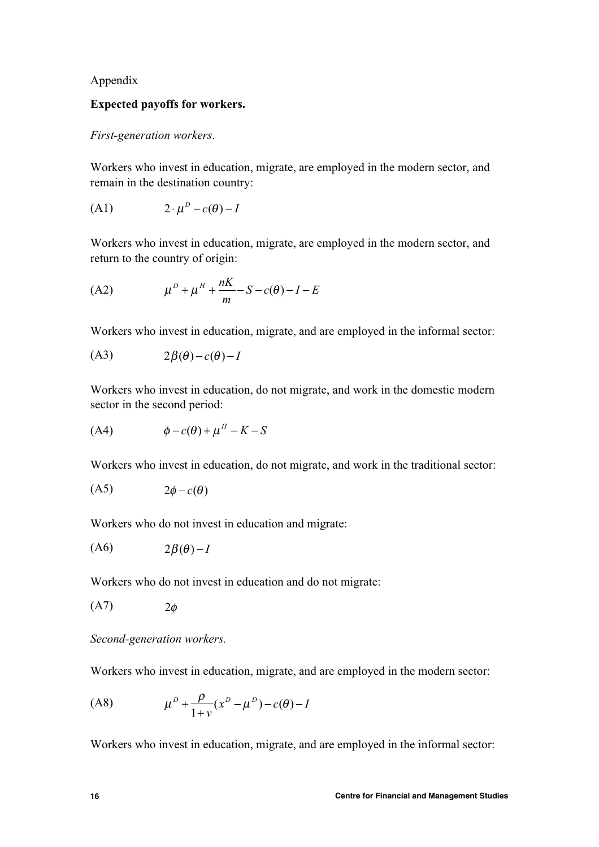## Appendix

## **Expected payoffs for workers.**

## *First-generation workers*.

Workers who invest in education, migrate, are employed in the modern sector, and remain in the destination country:

$$
(A1) \t 2 \cdot \mu^D - c(\theta) - I
$$

Workers who invest in education, migrate, are employed in the modern sector, and return to the country of origin:

(A2) 
$$
\mu^{D} + \mu^{H} + \frac{nK}{m} - S - c(\theta) - I - E
$$

Workers who invest in education, migrate, and are employed in the informal sector:

$$
(A3) \t2\beta(\theta) - c(\theta) - I
$$

Workers who invest in education, do not migrate, and work in the domestic modern sector in the second period:

$$
(A4) \qquad \phi - c(\theta) + \mu^H - K - S
$$

Workers who invest in education, do not migrate, and work in the traditional sector:

$$
(A5) \t 2\phi - c(\theta)
$$

Workers who do not invest in education and migrate:

$$
(A6) \t2\beta(\theta) - I
$$

Workers who do not invest in education and do not migrate:

$$
(A7) \t 2\phi
$$

*Second-generation workers.*

Workers who invest in education, migrate, and are employed in the modern sector:

(A8) 
$$
\mu^{D} + \frac{\rho}{1+v} (x^{D} - \mu^{D}) - c(\theta) - I
$$

Workers who invest in education, migrate, and are employed in the informal sector: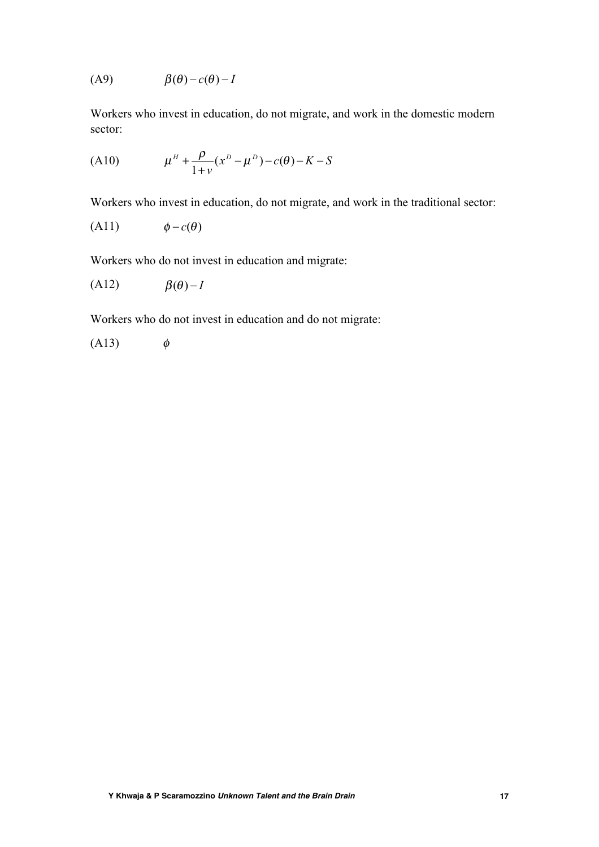$$
(A9) \qquad \beta(\theta) - c(\theta) - I
$$

Workers who invest in education, do not migrate, and work in the domestic modern sector:

(A10) 
$$
\mu^H + \frac{\rho}{1+v} (x^D - \mu^D) - c(\theta) - K - S
$$

Workers who invest in education, do not migrate, and work in the traditional sector:

$$
(A11) \qquad \qquad \phi - c(\theta)
$$

Workers who do not invest in education and migrate:

$$
(A12) \qquad \beta(\theta) - I
$$

Workers who do not invest in education and do not migrate:

$$
(A13) \qquad \phi
$$